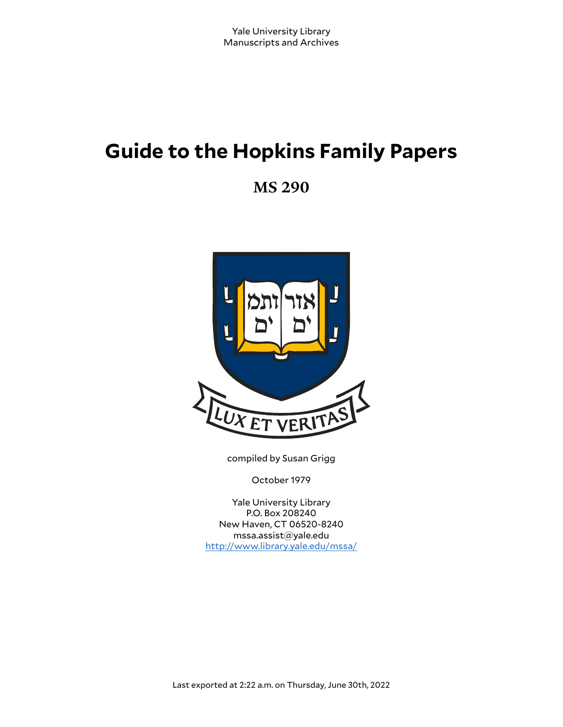# **Guide to the Hopkins Family Papers**

**MS 290**



compiled by Susan Grigg

October 1979

Yale University Library P.O. Box 208240 New Haven, CT 06520-8240 mssa.assist@yale.edu <http://www.library.yale.edu/mssa/>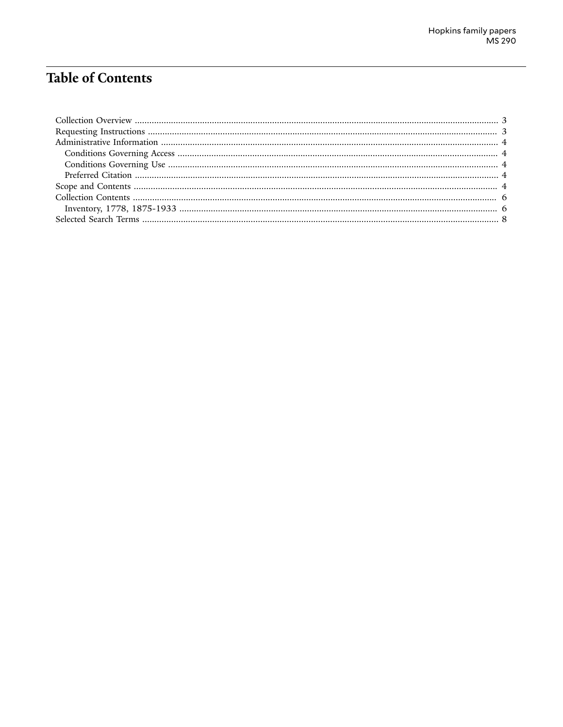# **Table of Contents**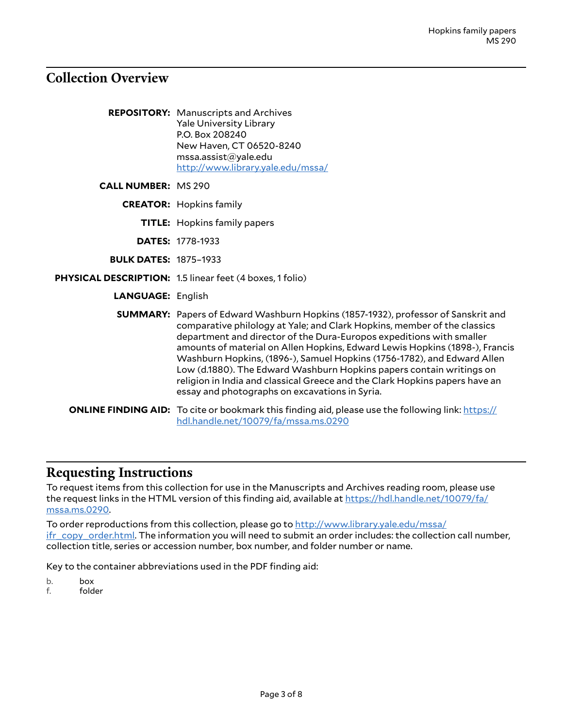# <span id="page-2-0"></span>**Collection Overview**

|                              | <b>REPOSITORY:</b> Manuscripts and Archives<br><b>Yale University Library</b><br>P.O. Box 208240<br>New Haven, CT 06520-8240<br>msa. assist@yale.edu<br>http://www.library.yale.edu/mssa/                                                                                                                                                                                                                                                                                                                                                                                                                       |
|------------------------------|-----------------------------------------------------------------------------------------------------------------------------------------------------------------------------------------------------------------------------------------------------------------------------------------------------------------------------------------------------------------------------------------------------------------------------------------------------------------------------------------------------------------------------------------------------------------------------------------------------------------|
| <b>CALL NUMBER: MS 290</b>   |                                                                                                                                                                                                                                                                                                                                                                                                                                                                                                                                                                                                                 |
|                              | <b>CREATOR:</b> Hopkins family                                                                                                                                                                                                                                                                                                                                                                                                                                                                                                                                                                                  |
|                              | <b>TITLE:</b> Hopkins family papers                                                                                                                                                                                                                                                                                                                                                                                                                                                                                                                                                                             |
|                              | <b>DATES: 1778-1933</b>                                                                                                                                                                                                                                                                                                                                                                                                                                                                                                                                                                                         |
| <b>BULK DATES: 1875-1933</b> |                                                                                                                                                                                                                                                                                                                                                                                                                                                                                                                                                                                                                 |
|                              | PHYSICAL DESCRIPTION: 1.5 linear feet (4 boxes, 1 folio)                                                                                                                                                                                                                                                                                                                                                                                                                                                                                                                                                        |
| <b>LANGUAGE: English</b>     |                                                                                                                                                                                                                                                                                                                                                                                                                                                                                                                                                                                                                 |
|                              | <b>SUMMARY:</b> Papers of Edward Washburn Hopkins (1857-1932), professor of Sanskrit and<br>comparative philology at Yale; and Clark Hopkins, member of the classics<br>department and director of the Dura-Europos expeditions with smaller<br>amounts of material on Allen Hopkins, Edward Lewis Hopkins (1898-), Francis<br>Washburn Hopkins, (1896-), Samuel Hopkins (1756-1782), and Edward Allen<br>Low (d.1880). The Edward Washburn Hopkins papers contain writings on<br>religion in India and classical Greece and the Clark Hopkins papers have an<br>essay and photographs on excavations in Syria. |
|                              | <b>ONLINE FINDING AID:</b> To cite or bookmark this finding aid, please use the following link: https://<br>hdl.handle.net/10079/fa/mssa.ms.0290                                                                                                                                                                                                                                                                                                                                                                                                                                                                |

# <span id="page-2-1"></span>**Requesting Instructions**

To request items from this collection for use in the Manuscripts and Archives reading room, please use the request links in the HTML version of this finding aid, available at [https://hdl.handle.net/10079/fa/](https://hdl.handle.net/10079/fa/mssa.ms.0290) [mssa.ms.0290.](https://hdl.handle.net/10079/fa/mssa.ms.0290)

To order reproductions from this collection, please go to [http://www.library.yale.edu/mssa/](http://www.library.yale.edu/mssa/ifr_copy_order.html) [ifr\\_copy\\_order.html.](http://www.library.yale.edu/mssa/ifr_copy_order.html) The information you will need to submit an order includes: the collection call number, collection title, series or accession number, box number, and folder number or name.

Key to the container abbreviations used in the PDF finding aid:

- b. box
- f. folder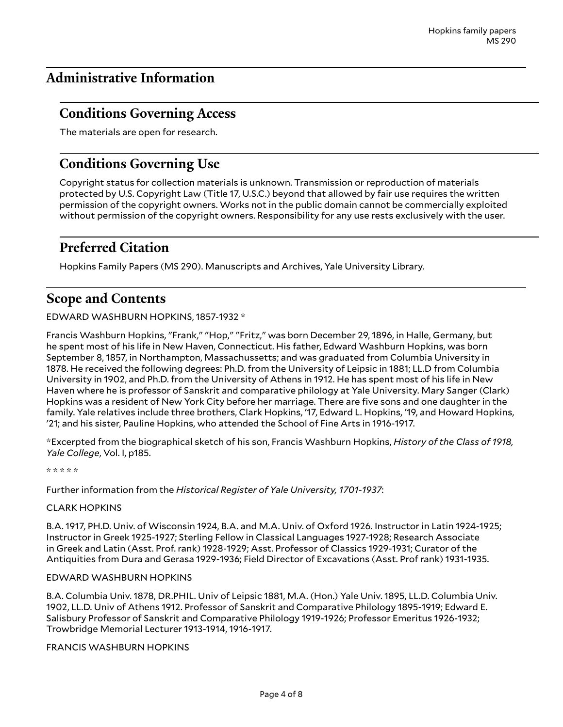# <span id="page-3-0"></span>**Administrative Information**

### <span id="page-3-1"></span>**Conditions Governing Access**

The materials are open for research.

### <span id="page-3-2"></span>**Conditions Governing Use**

Copyright status for collection materials is unknown. Transmission or reproduction of materials protected by U.S. Copyright Law (Title 17, U.S.C.) beyond that allowed by fair use requires the written permission of the copyright owners. Works not in the public domain cannot be commercially exploited without permission of the copyright owners. Responsibility for any use rests exclusively with the user.

### <span id="page-3-3"></span>**Preferred Citation**

Hopkins Family Papers (MS 290). Manuscripts and Archives, Yale University Library.

### <span id="page-3-4"></span>**Scope and Contents**

#### EDWARD WASHBURN HOPKINS, 1857-1932 \*

Francis Washburn Hopkins, "Frank," "Hop," "Fritz," was born December 29, 1896, in Halle, Germany, but he spent most of his life in New Haven, Connecticut. His father, Edward Washburn Hopkins, was born September 8, 1857, in Northampton, Massachussetts; and was graduated from Columbia University in 1878. He received the following degrees: Ph.D. from the University of Leipsic in 1881; LL.D from Columbia University in 1902, and Ph.D. from the University of Athens in 1912. He has spent most of his life in New Haven where he is professor of Sanskrit and comparative philology at Yale University. Mary Sanger (Clark) Hopkins was a resident of New York City before her marriage. There are five sons and one daughter in the family. Yale relatives include three brothers, Clark Hopkins, '17, Edward L. Hopkins, '19, and Howard Hopkins, '21; and his sister, Pauline Hopkins, who attended the School of Fine Arts in 1916-1917.

\*Excerpted from the biographical sketch of his son, Francis Washburn Hopkins, *History of the Class of 1918, Yale College*, Vol. I, p185.

\* \* \* \* \*

Further information from the *Historical Register of Yale University, 1701-1937*:

#### CLARK HOPKINS

B.A. 1917, PH.D. Univ. of Wisconsin 1924, B.A. and M.A. Univ. of Oxford 1926. Instructor in Latin 1924-1925; Instructor in Greek 1925-1927; Sterling Fellow in Classical Languages 1927-1928; Research Associate in Greek and Latin (Asst. Prof. rank) 1928-1929; Asst. Professor of Classics 1929-1931; Curator of the Antiquities from Dura and Gerasa 1929-1936; Field Director of Excavations (Asst. Prof rank) 1931-1935.

#### EDWARD WASHBURN HOPKINS

B.A. Columbia Univ. 1878, DR.PHIL. Univ of Leipsic 1881, M.A. (Hon.) Yale Univ. 1895, LL.D. Columbia Univ. 1902, LL.D. Univ of Athens 1912. Professor of Sanskrit and Comparative Philology 1895-1919; Edward E. Salisbury Professor of Sanskrit and Comparative Philology 1919-1926; Professor Emeritus 1926-1932; Trowbridge Memorial Lecturer 1913-1914, 1916-1917.

FRANCIS WASHBURN HOPKINS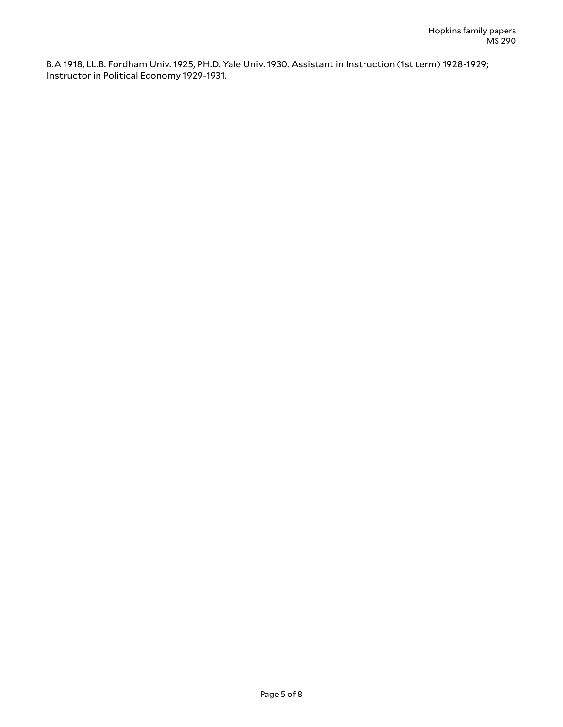B.A 1918, LL.B. Fordham Univ. 1925, PH.D. Yale Univ. 1930. Assistant in Instruction (1st term) 1928-1929; Instructor in Political Economy 1929-1931.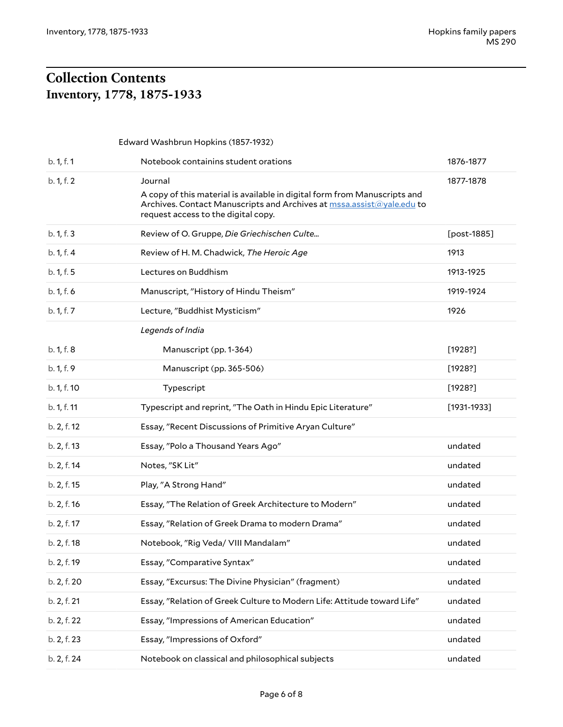# <span id="page-5-1"></span><span id="page-5-0"></span>**Collection Contents Inventory, 1778, 1875-1933**

| Edward Washbrun Hopkins (1857-1932) |                                                                                                                                                                                           |                 |  |
|-------------------------------------|-------------------------------------------------------------------------------------------------------------------------------------------------------------------------------------------|-----------------|--|
| b. 1, f. 1                          | Notebook containins student orations                                                                                                                                                      | 1876-1877       |  |
| b. 1, f. 2                          | Journal                                                                                                                                                                                   | 1877-1878       |  |
|                                     | A copy of this material is available in digital form from Manuscripts and<br>Archives. Contact Manuscripts and Archives at mssa.assist@yale.edu to<br>request access to the digital copy. |                 |  |
| b. 1, f. 3                          | Review of O. Gruppe, Die Griechischen Culte                                                                                                                                               | [post-1885]     |  |
| b. 1, f. 4                          | Review of H. M. Chadwick, The Heroic Age                                                                                                                                                  | 1913            |  |
| b. 1, f. 5                          | Lectures on Buddhism                                                                                                                                                                      | 1913-1925       |  |
| b. 1, f. 6                          | Manuscript, "History of Hindu Theism"                                                                                                                                                     | 1919-1924       |  |
| b. 1, f. 7                          | Lecture, "Buddhist Mysticism"                                                                                                                                                             | 1926            |  |
|                                     | Legends of India                                                                                                                                                                          |                 |  |
| b. 1, f. 8                          | Manuscript (pp. 1-364)                                                                                                                                                                    | [1928?]         |  |
| b. 1, f. 9                          | Manuscript (pp. 365-506)                                                                                                                                                                  | [1928!]         |  |
| b. 1, f. 10                         | Typescript                                                                                                                                                                                | [1928?]         |  |
| b. 1, f. 11                         | Typescript and reprint, "The Oath in Hindu Epic Literature"                                                                                                                               | $[1931 - 1933]$ |  |
| b. 2, f. 12                         | Essay, "Recent Discussions of Primitive Aryan Culture"                                                                                                                                    |                 |  |
| b. 2, f. 13                         | Essay, "Polo a Thousand Years Ago"                                                                                                                                                        | undated         |  |
| b. 2, f. 14                         | Notes, "SK Lit"                                                                                                                                                                           | undated         |  |
| b. 2, f. 15                         | Play, "A Strong Hand"                                                                                                                                                                     | undated         |  |
| b. 2, f. 16                         | Essay, "The Relation of Greek Architecture to Modern"                                                                                                                                     | undated         |  |
| b. 2, f. 17                         | Essay, "Relation of Greek Drama to modern Drama"                                                                                                                                          | undated         |  |
| b. 2, f. 18                         | Notebook, "Rig Veda/ VIII Mandalam"                                                                                                                                                       | undated         |  |
| b. 2, f. 19                         | Essay, "Comparative Syntax"                                                                                                                                                               | undated         |  |
| b. 2, f. 20                         | Essay, "Excursus: The Divine Physician" (fragment)                                                                                                                                        | undated         |  |
| b. 2, f. 21                         | Essay, "Relation of Greek Culture to Modern Life: Attitude toward Life"                                                                                                                   | undated         |  |
| b. 2, f. 22                         | Essay, "Impressions of American Education"                                                                                                                                                | undated         |  |
| b. 2, f. 23                         | Essay, "Impressions of Oxford"                                                                                                                                                            | undated         |  |
| b. 2, f. 24                         | Notebook on classical and philosophical subjects                                                                                                                                          | undated         |  |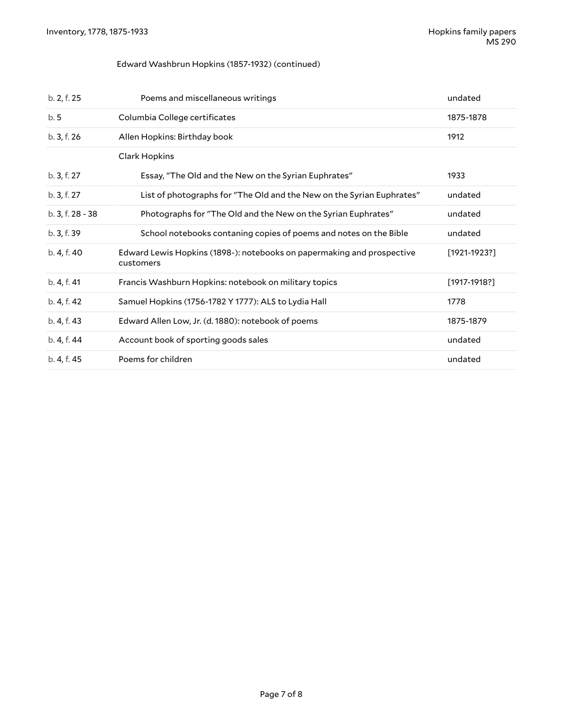#### Edward Washbrun Hopkins (1857-1932) (continued)

| b. 2, f. 25      | Poems and miscellaneous writings                                                    | undated         |
|------------------|-------------------------------------------------------------------------------------|-----------------|
| b.5              | Columbia College certificates                                                       | 1875-1878       |
| b. 3, f. 26      | Allen Hopkins: Birthday book                                                        | 1912            |
|                  | Clark Hopkins                                                                       |                 |
| b. 3, f. 27      | Essay, "The Old and the New on the Syrian Euphrates"                                | 1933            |
| b. 3, f. 27      | List of photographs for "The Old and the New on the Syrian Euphrates"               | undated         |
| b. 3, f. 28 - 38 | Photographs for "The Old and the New on the Syrian Euphrates"                       | undated         |
| b. 3, f. 39      | School notebooks contaning copies of poems and notes on the Bible                   | undated         |
| b. 4, f. 40      | Edward Lewis Hopkins (1898-): notebooks on papermaking and prospective<br>customers | $[1921 - 1923]$ |
| b. 4, f. 41      | Francis Washburn Hopkins: notebook on military topics                               | $[1917-1918?]$  |
| b. 4, f. 42      | Samuel Hopkins (1756-1782 Y 1777): ALS to Lydia Hall                                | 1778            |
| b. 4, f. 43      | Edward Allen Low, Jr. (d. 1880): notebook of poems                                  | 1875-1879       |
| b. 4, f. 44      | Account book of sporting goods sales                                                | undated         |
| b. 4, f. 45      | Poems for children                                                                  | undated         |